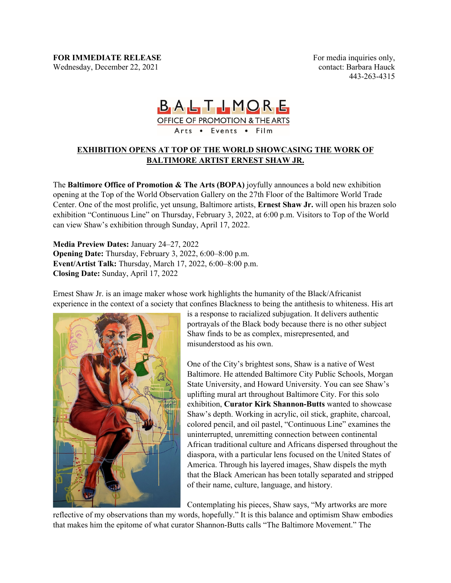For media inquiries only, contact: Barbara Hauck 443-263-4315

## BALTLMORE

OFFICE OF PROMOTION & THE ARTS

Arts . Events . Film

## **EXHIBITION OPENS AT TOP OF THE WORLD SHOWCASING THE WORK OF BALTIMORE ARTIST ERNEST SHAW JR.**

The **Baltimore Office of Promotion & The Arts (BOPA)** joyfully announces a bold new exhibition opening at the Top of the World Observation Gallery on the 27th Floor of the Baltimore World Trade Center. One of the most prolific, yet unsung, Baltimore artists, **Ernest Shaw Jr.** will open his brazen solo exhibition "Continuous Line" on Thursday, February 3, 2022, at 6:00 p.m. Visitors to Top of the World can view Shaw's exhibition through Sunday, April 17, 2022.

**Media Preview Dates:** January 24–27, 2022 **Opening Date:** Thursday, February 3, 2022, 6:00–8:00 p.m. **Event/Artist Talk:** Thursday, March 17, 2022, 6:00–8:00 p.m. **Closing Date:** Sunday, April 17, 2022

Ernest Shaw Jr. is an image maker whose work highlights the humanity of the Black/Africanist experience in the context of a society that confines Blackness to being the antithesis to whiteness. His art



is a response to racialized subjugation. It delivers authentic portrayals of the Black body because there is no other subject Shaw finds to be as complex, misrepresented, and misunderstood as his own.

One of the City's brightest sons, Shaw is a native of West Baltimore. He attended Baltimore City Public Schools, Morgan State University, and Howard University. You can see Shaw's uplifting mural art throughout Baltimore City. For this solo exhibition, **Curator Kirk Shannon-Butts** wanted to showcase Shaw's depth. Working in acrylic, oil stick, graphite, charcoal, colored pencil, and oil pastel, "Continuous Line" examines the uninterrupted, unremitting connection between continental African traditional culture and Africans dispersed throughout the diaspora, with a particular lens focused on the United States of America. Through his layered images, Shaw dispels the myth that the Black American has been totally separated and stripped of their name, culture, language, and history.

Contemplating his pieces, Shaw says, "My artworks are more

reflective of my observations than my words, hopefully." It is this balance and optimism Shaw embodies that makes him the epitome of what curator Shannon-Butts calls "The Baltimore Movement." The